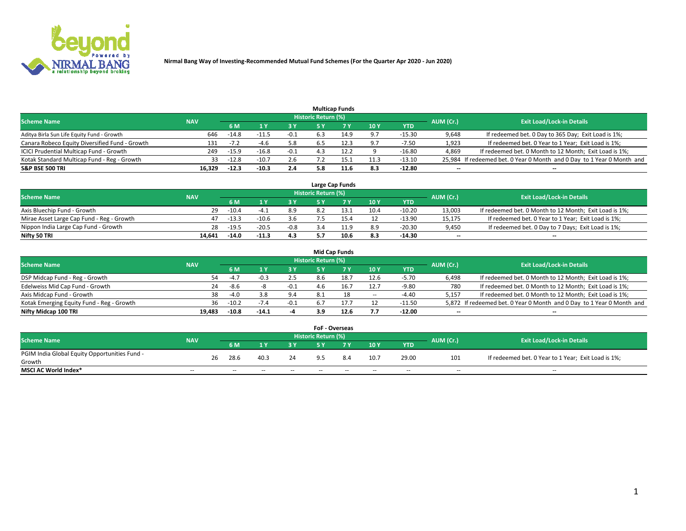

|                                                |            |         |         |        |                     | <b>Multicap Funds</b> |      |          |           |                                                                        |
|------------------------------------------------|------------|---------|---------|--------|---------------------|-----------------------|------|----------|-----------|------------------------------------------------------------------------|
| <b>Scheme Name</b>                             | <b>NAV</b> |         |         |        | Historic Return (%) |                       |      |          | AUM (Cr.) | <b>Exit Load/Lock-in Details</b>                                       |
|                                                |            | 6 M     |         |        |                     |                       | 10Y  | YTD      |           |                                                                        |
| Aditya Birla Sun Life Equity Fund - Growth     | 646        | $-14.8$ | -11.!   | -0.1   | 6.3                 | 14.9                  | 9.7  | $-15.30$ | 9,648     | If redeemed bet. 0 Day to 365 Day; Exit Load is 1%;                    |
| Canara Robeco Equity Diversified Fund - Growth | 131        | -72     | -4.6    | 5.8    | 6.5                 | 12.3                  | 9.7  | $-7.50$  | 1,923     | If redeemed bet. 0 Year to 1 Year; Exit Load is 1%;                    |
| ICICI Prudential Multicap Fund - Growth        | 249        | $-15.9$ | $-16.8$ | $-0.1$ |                     | 12.2                  |      | $-16.80$ | 4,869     | If redeemed bet. 0 Month to 12 Month; Exit Load is 1%;                 |
| Kotak Standard Multicap Fund - Reg - Growth    | 33         | $-12.8$ | $-10.7$ | 2.6    |                     |                       | 11.3 | $-13.10$ |           | 25,984 If redeemed bet. 0 Year 0 Month and 0 Day to 1 Year 0 Month and |
| <b>S&amp;P BSE 500 TRI</b>                     | 16.329     | $-12.3$ | $-10.3$ | 2.4    | 5.8                 |                       | 8.3  | $-12.80$ | $- -$     | $\overline{\phantom{a}}$                                               |

|                                           |            |         |         |        |                     | Large Cap Funds |      |            |                          |                                                        |
|-------------------------------------------|------------|---------|---------|--------|---------------------|-----------------|------|------------|--------------------------|--------------------------------------------------------|
| <b>Scheme Name</b>                        | <b>NAV</b> |         |         |        | Historic Return (%) |                 |      |            | AUM (Cr.)                | <b>Exit Load/Lock-in Details</b>                       |
|                                           |            | 6 M     |         | 3 Y    |                     |                 | 10Y  | <b>YTD</b> |                          |                                                        |
| Axis Bluechip Fund - Growth               | 29         | $-10.4$ | -4      | 8.9    |                     |                 | 10.4 | $-10.20$   | 13.003                   | If redeemed bet. 0 Month to 12 Month; Exit Load is 1%; |
| Mirae Asset Large Cap Fund - Reg - Growth |            | $-13.3$ | $-10.6$ | 3.6    |                     |                 |      | $-13.90$   | 15.175                   | If redeemed bet. 0 Year to 1 Year; Exit Load is 1%;    |
| Nippon India Large Cap Fund - Growth      | 28         | $-19.5$ | $-20.5$ | $-0.8$ |                     |                 | 8.9  | $-20.30$   | 9,450                    | If redeemed bet. 0 Day to 7 Days; Exit Load is 1%;     |
| Nifty 50 TRI                              | 14.641     | $-14.0$ | $-11.3$ | 4.3    |                     | 10.6            | 8.3  | -14.30     | $\overline{\phantom{a}}$ | $\overline{\phantom{a}}$                               |

|                                           |            |               |         |        |                     | <b>Mid Cap Funds</b> |        |            |           |                                                                       |
|-------------------------------------------|------------|---------------|---------|--------|---------------------|----------------------|--------|------------|-----------|-----------------------------------------------------------------------|
| <b>Scheme Name</b>                        | <b>NAV</b> |               |         |        | Historic Return (%) |                      |        |            | AUM (Cr.) | <b>Exit Load/Lock-in Details</b>                                      |
|                                           |            | 6 M           |         | 3 Y    |                     | 7 V.                 | 10Y    | <b>YTD</b> |           |                                                                       |
| DSP Midcap Fund - Reg - Growth            |            | $-4.7$<br>54  | -0.3    | 2.5    | 8.6                 | 18.                  | 12.6   | -5.70      | 6.498     | If redeemed bet. 0 Month to 12 Month; Exit Load is 1%;                |
| Edelweiss Mid Cap Fund - Growth           |            | 24<br>-8.6    | -8      | -0.1   | 4.6                 | 16.                  | 12.7   | -9.80      | 780       | If redeemed bet. 0 Month to 12 Month; Exit Load is 1%;                |
| Axis Midcap Fund - Growth                 |            | 38<br>$-4.0$  |         | 9.4    |                     | 18                   | $\sim$ | -4.40      | 5,157     | If redeemed bet. 0 Month to 12 Month; Exit Load is 1%;                |
| Kotak Emerging Equity Fund - Reg - Growth |            | $-10.2$<br>36 | $-7.4$  | $-0.1$ |                     |                      | 12     | $-11.50$   |           | 5,872 If redeemed bet. 0 Year 0 Month and 0 Day to 1 Year 0 Month and |
| Nifty Midcap 100 TRI                      | 19.483     | $-10.8$       | $-14.1$ | -4     | 3.9                 | 12.6                 | 7.7    | $-12.00$   | $- -$     | $\overline{\phantom{a}}$                                              |

|                                               |            |    |      |      |     | <b>FoF - Overseas</b>      |     |      |            |           |                                                     |
|-----------------------------------------------|------------|----|------|------|-----|----------------------------|-----|------|------------|-----------|-----------------------------------------------------|
| <b>Scheme Name</b>                            | <b>NAV</b> |    |      |      |     | <b>Historic Return (%)</b> |     |      |            | AUM (Cr.) | <b>Exit Load/Lock-in Details</b>                    |
|                                               |            |    | 6 M  |      |     |                            |     | 10Y  | <b>YTD</b> |           |                                                     |
| PGIM India Global Equity Opportunities Fund - |            | 26 | 28.6 | 40.3 | 24  |                            | 8.4 | 10.7 | 29.00      | 101       | If redeemed bet. 0 Year to 1 Year; Exit Load is 1%; |
| Growth                                        |            |    |      |      |     |                            |     |      |            |           |                                                     |
| <b>MSCI AC World Index*</b>                   | $- -$      |    | $-$  | $-$  | $-$ | $- -$                      | --  | $-$  | $-$        | $-$       | $-$                                                 |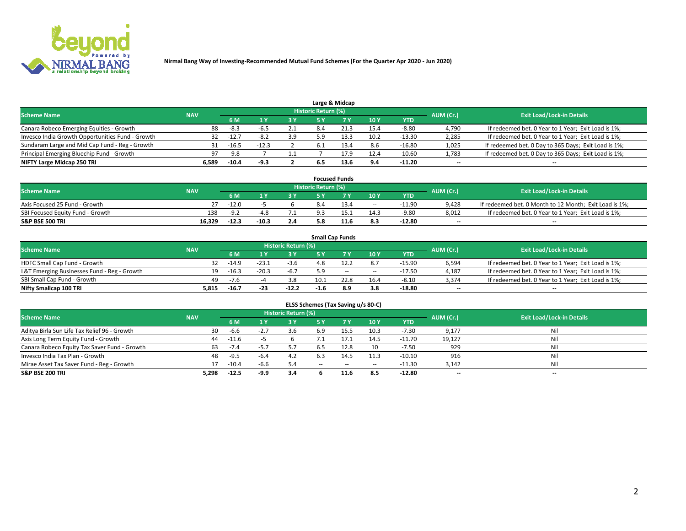

|                                                  |            |                                  |         |     |     | Large & Midcap |      |            |       |                                                      |
|--------------------------------------------------|------------|----------------------------------|---------|-----|-----|----------------|------|------------|-------|------------------------------------------------------|
| <b>Scheme Name</b>                               | AUM (Cr.)  | <b>Exit Load/Lock-in Details</b> |         |     |     |                |      |            |       |                                                      |
|                                                  | <b>NAV</b> | <b>6M</b>                        |         | 3Y  |     | 7 V            | 10Y  | <b>YTD</b> |       |                                                      |
| Canara Robeco Emerging Equities - Growth         | 88         | -8.3                             | -b      | 2.1 | 8.4 | 21.3           | 15.4 | -8.80      | 4,790 | If redeemed bet. 0 Year to 1 Year; Exit Load is 1%;  |
| Invesco India Growth Opportunities Fund - Growth | 32         | $-12.$                           |         | 3.9 | 5.9 |                | 10.2 | $-13.30$   | 2,285 | If redeemed bet. 0 Year to 1 Year; Exit Load is 1%;  |
| Sundaram Large and Mid Cap Fund - Reg - Growth   |            | $-16.5$                          | $-12.3$ |     |     |                | 8.6  | $-16.80$   | 1,025 | If redeemed bet. 0 Day to 365 Days; Exit Load is 1%; |
| Principal Emerging Bluechip Fund - Growth        | 97         | $-9.8$                           |         |     |     | 1/9            | 12.4 | $-10.60$   | 1,783 | If redeemed bet. 0 Day to 365 Days; Exit Load is 1%; |
| NIFTY Large Midcap 250 TRI                       | 6.589      | $-10.4$                          | -9.3    |     |     | 13.6           | 9.4  | $-11.20$   | $- -$ | --                                                   |

|                                  |            |         |         |     |                     | <b>Focused Funds</b> |        |          |           |                                                        |
|----------------------------------|------------|---------|---------|-----|---------------------|----------------------|--------|----------|-----------|--------------------------------------------------------|
| <b>Scheme Name</b>               | <b>NAV</b> |         |         |     | Historic Return (%) |                      |        |          | AUM (Cr.) | <b>Exit Load/Lock-in Details</b>                       |
|                                  |            | 6 M     |         | 2 V |                     | ע ל                  | 10Y    | YTD      |           |                                                        |
| Axis Focused 25 Fund - Growth    | 27.        | $-12.0$ |         |     | 8.4                 | 13.4                 | $\sim$ | $-11.90$ | 9.428     | If redeemed bet. 0 Month to 12 Month; Exit Load is 1%; |
| SBI Focused Equity Fund - Growth | 138        | $-9.2$  | -4 x    |     |                     |                      | 14.3   | $-9.80$  | 8,012     | If redeemed bet. 0 Year to 1 Year; Exit Load is 1%;    |
| <b>S&amp;P BSE 500 TRI</b>       | 16.329     | $-12.3$ | $-10.3$ | 2.4 |                     | 41.6                 | 8.3    | $-12.80$ | $- -$     | $\overline{\phantom{a}}$                               |

|                                             |            |         |         |                     |        | <b>Small Cap Funds</b> |                          |            |           |                                                     |
|---------------------------------------------|------------|---------|---------|---------------------|--------|------------------------|--------------------------|------------|-----------|-----------------------------------------------------|
| <b>Scheme Name</b>                          | <b>NAV</b> |         |         | Historic Return (%) |        |                        |                          |            | AUM (Cr.) | <b>Exit Load/Lock-in Details</b>                    |
|                                             |            | 6 M     |         | <b>3 Y</b>          | ς γ    |                        | 10Y                      | <b>YTD</b> |           |                                                     |
| HDFC Small Cap Fund - Growth                | 32         | $-14.9$ | -23.1   | $-3.6$              |        |                        | 8.7                      | $-15.90$   | 6,594     | If redeemed bet. 0 Year to 1 Year; Exit Load is 1%; |
| L&T Emerging Businesses Fund - Reg - Growth |            | $-16.3$ | $-20.3$ | $-6.7$              |        | $-$                    | $\overline{\phantom{a}}$ | $-17.50$   | 4.187     | If redeemed bet. 0 Year to 1 Year; Exit Load is 1%; |
| SBI Small Cap Fund - Growth                 | 49         | $-7.6$  |         | 3.8                 | 10.1   | 22.8                   | 16.4                     | $-8.10$    | 3,374     | If redeemed bet. 0 Year to 1 Year; Exit Load is 1%; |
| Nifty Smallcap 100 TRI                      | 5.815      | $-16.7$ | -23     | $-12.2$             | $-1.6$ | 8.9                    | 3.8                      | $-18.80$   | --        | $\overline{\phantom{a}}$                            |

| ELSS Schemes (Tax Saving u/s 80-C)           |                                                                |         |      |     |     |      |        |            |           |                                  |  |  |  |  |
|----------------------------------------------|----------------------------------------------------------------|---------|------|-----|-----|------|--------|------------|-----------|----------------------------------|--|--|--|--|
|                                              | <b>Historic Return (%)</b><br><b>Scheme Name</b><br><b>NAV</b> |         |      |     |     |      |        |            |           |                                  |  |  |  |  |
|                                              |                                                                | 6 M     |      | 3 Y |     |      | 10Y    | <b>YTD</b> | AUM (Cr.) | <b>Exit Load/Lock-in Details</b> |  |  |  |  |
| Aditya Birla Sun Life Tax Relief 96 - Growth | 30                                                             | -6.6    |      | 3.6 | 6.9 | 15.5 | 10.3   | $-7.30$    | 9,177     | Nil                              |  |  |  |  |
| Axis Long Term Equity Fund - Growth          | 44                                                             | $-11.6$ |      |     |     | 17.1 | 14.5   | $-11.70$   | 19,127    | Nil                              |  |  |  |  |
| Canara Robeco Equity Tax Saver Fund - Growth | 63                                                             | $-7.4$  | -5.  | 5.7 |     | 12.8 | 10     | $-7.50$    | 929       | Nil                              |  |  |  |  |
| Invesco India Tax Plan - Growth              | 48                                                             | $-9.5$  | -6.4 | 4.2 |     | 14.5 | 11.3   | $-10.10$   | 916       | Nil                              |  |  |  |  |
| Mirae Asset Tax Saver Fund - Reg - Growth    |                                                                | $-10.4$ | -6.6 | 5.4 | --  | $-$  | $\sim$ | $-11.30$   | 3,142     | Nil                              |  |  |  |  |
| <b>S&amp;P BSE 200 TRI</b>                   | 5.298                                                          | $-12.5$ | -9.9 | 3.4 |     | 11.6 | 8.5    | $-12.80$   | $- -$     | $\overline{\phantom{a}}$         |  |  |  |  |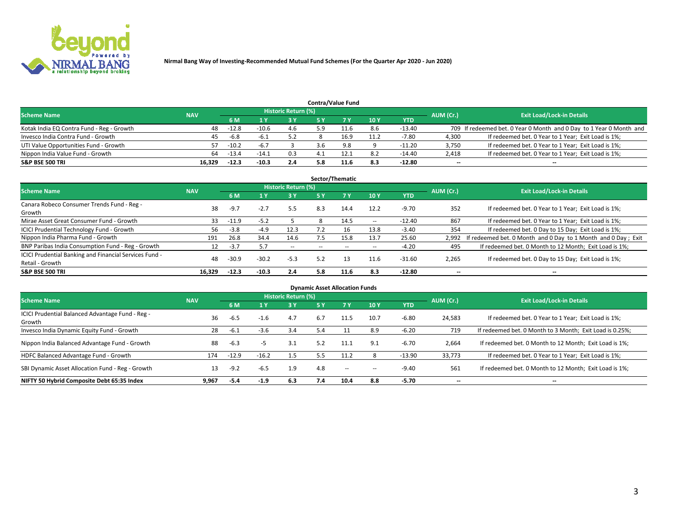

|                                           |            |         |         |                            |     | <b>Contra/Value Fund</b> |     |            |           |                                                                     |
|-------------------------------------------|------------|---------|---------|----------------------------|-----|--------------------------|-----|------------|-----------|---------------------------------------------------------------------|
| <b>Scheme Name</b>                        | <b>NAV</b> |         |         | <b>Historic Return (%)</b> |     |                          |     |            |           | <b>Exit Load/Lock-in Details</b>                                    |
|                                           |            | 6 M     |         | 3 Y                        |     |                          | 10Y | <b>YTD</b> | AUM (Cr.) |                                                                     |
| Kotak India EQ Contra Fund - Reg - Growth | 48         | $-12.8$ | $-10.6$ | 4.6                        | 5.9 |                          | 8.6 | -13.40     |           | 709 If redeemed bet. 0 Year 0 Month and 0 Day to 1 Year 0 Month and |
| Invesco India Contra Fund - Growth        | 45.        | -6.8    | -b      |                            |     | 16.º                     |     | $-7.80$    | 4.300     | If redeemed bet. 0 Year to 1 Year; Exit Load is 1%;                 |
| UTI Value Opportunities Fund - Growth     | 57.        | $-10.2$ | $-6.7$  |                            | 3.6 | 9.8                      |     | $-11.20$   | 3,750     | If redeemed bet. 0 Year to 1 Year; Exit Load is 1%;                 |
| Nippon India Value Fund - Growth          | 64         | $-13.4$ | $-14.1$ | 0.3                        |     |                          | 8.2 | $-14.40$   | 2,418     | If redeemed bet. 0 Year to 1 Year; Exit Load is 1%;                 |
| <b>S&amp;P BSE 500 TRI</b>                | 16.329     | $-12.3$ | $-10.3$ | 2.4                        | 5.8 | 11.6                     | 8.3 | $-12.80$   | $- -$     | $\overline{\phantom{a}}$                                            |

|                                                        |            |         |         |                     |           | Sector/Thematic |            |            |           |                                                               |
|--------------------------------------------------------|------------|---------|---------|---------------------|-----------|-----------------|------------|------------|-----------|---------------------------------------------------------------|
| <b>Scheme Name</b>                                     | <b>NAV</b> |         |         | Historic Return (%) |           |                 |            |            | AUM (Cr.) | <b>Exit Load/Lock-in Details</b>                              |
|                                                        |            | 6 M     |         | 3Y                  | <b>5Y</b> | 7Y              | 10Y        | <b>YTD</b> |           |                                                               |
| Canara Robeco Consumer Trends Fund - Reg -             | 38         | $-9.7$  | $-2.7$  | 5.5                 | 8.3       | 14.4            | 12.2       | $-9.70$    | 352       | If redeemed bet. 0 Year to 1 Year; Exit Load is 1%;           |
| Growth                                                 |            |         |         |                     |           |                 |            |            |           |                                                               |
| Mirae Asset Great Consumer Fund - Growth               | 33         | $-11.9$ | $-5.2$  |                     | 8         | 14.5            | $\sim$ $-$ | $-12.40$   | 867       | If redeemed bet. 0 Year to 1 Year; Exit Load is 1%;           |
| ICICI Prudential Technology Fund - Growth              | 56         | $-3.8$  | $-4.9$  | 12.3                |           |                 | 13.8       | $-3.40$    | 354       | If redeemed bet. 0 Day to 15 Day; Exit Load is 1%;            |
| Nippon India Pharma Fund - Growth                      | 191        | 26.8    | 34.4    | 14.6                | 7.5       | 15.8            | 13.7       | 25.60      | 2.992     | If redeemed bet. 0 Month and 0 Day to 1 Month and 0 Day; Exit |
| BNP Paribas India Consumption Fund - Reg - Growth      | 12         | $-3.7$  | 5.7     | $\sim$              | $\sim$    | $\!-$           | $\sim$ $-$ | $-4.20$    | 495       | If redeemed bet. 0 Month to 12 Month; Exit Load is 1%;        |
| ICICI Prudential Banking and Financial Services Fund - | 48         | $-30.9$ | $-30.2$ | $-5.3$              | 5.2       | 13              | 11.6       | $-31.60$   | 2,265     | If redeemed bet. 0 Day to 15 Day; Exit Load is 1%;            |
| Retail - Growth                                        |            |         |         |                     |           |                 |            |            |           |                                                               |
| <b>S&amp;P BSE 500 TRI</b>                             | 16.329     | $-12.3$ | $-10.3$ | 2.4                 | 5.8       | 11.6            | 8.3        | $-12.80$   | --        | $\overline{\phantom{a}}$                                      |

| <b>Dynamic Asset Allocation Funds</b>                      |            |         |         |                     |     |        |        |            |                          |                                                          |  |  |  |
|------------------------------------------------------------|------------|---------|---------|---------------------|-----|--------|--------|------------|--------------------------|----------------------------------------------------------|--|--|--|
| <b>Scheme Name</b>                                         | <b>NAV</b> |         |         | Historic Return (%) |     |        |        |            | AUM (Cr.)                | <b>Exit Load/Lock-in Details</b>                         |  |  |  |
|                                                            |            | 6 M     |         | 3 Y                 | 5 Y | 7 Y    | 10Y    | <b>YTD</b> |                          |                                                          |  |  |  |
| ICICI Prudential Balanced Advantage Fund - Reg -<br>Growth | 36         | $-6.5$  | $-1.6$  | 4.7                 | 6.7 | 11.5   | 10.7   | $-6.80$    | 24,583                   | If redeemed bet. 0 Year to 1 Year; Exit Load is 1%;      |  |  |  |
| Invesco India Dynamic Equity Fund - Growth                 | 28         | $-6.1$  | $-3.6$  | 3.4                 | 5.4 |        | 8.9    | $-6.20$    | 719                      | If redeemed bet. 0 Month to 3 Month; Exit Load is 0.25%; |  |  |  |
| Nippon India Balanced Advantage Fund - Growth              | 88         | $-6.3$  | -5      | 3.1                 | 5.2 | 11.1   | 9.1    | $-6.70$    | 2,664                    | If redeemed bet. 0 Month to 12 Month; Exit Load is 1%;   |  |  |  |
| HDFC Balanced Advantage Fund - Growth                      | 174        | $-12.9$ | $-16.2$ | 1.5                 |     | 11.2   |        | $-13.90$   | 33.773                   | If redeemed bet. 0 Year to 1 Year; Exit Load is 1%;      |  |  |  |
| SBI Dynamic Asset Allocation Fund - Reg - Growth           | 13         | $-9.2$  | -6.5    | 1.9                 | 4.8 | $\sim$ | $\sim$ | $-9.40$    | 561                      | If redeemed bet. 0 Month to 12 Month; Exit Load is 1%;   |  |  |  |
| NIFTY 50 Hybrid Composite Debt 65:35 Index                 | 9.967      | -5.4    | $-1.9$  | 6.3                 | 7.4 | 10.4   | 8.8    | $-5.70$    | $\overline{\phantom{a}}$ | $\overline{\phantom{a}}$                                 |  |  |  |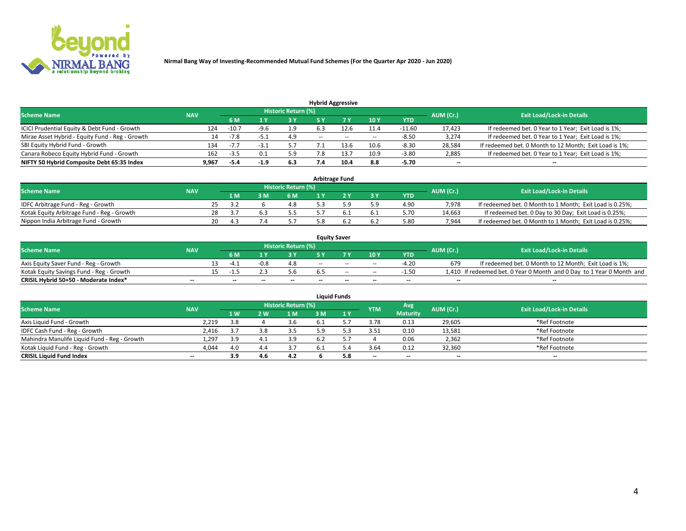

|                                                 |            |                                  |        |     |              | <b>Hybrid Aggressive</b> |        |            |        |                                                        |
|-------------------------------------------------|------------|----------------------------------|--------|-----|--------------|--------------------------|--------|------------|--------|--------------------------------------------------------|
| <b>Scheme Name</b>                              | AUM (Cr.)  | <b>Exit Load/Lock-in Details</b> |        |     |              |                          |        |            |        |                                                        |
|                                                 | <b>NAV</b> | 6 M                              |        | 3Y  |              | 7 V                      | 10Y    | <b>YTD</b> |        |                                                        |
| ICICI Prudential Equity & Debt Fund - Growth    | 124        | $-10.7$                          | -9.6   | 1.9 |              |                          | 11.4   | $-11.60$   | 17,423 | If redeemed bet. 0 Year to 1 Year; Exit Load is 1%;    |
| Mirae Asset Hybrid - Equity Fund - Reg - Growth | 14         | $-7.8$                           |        | 4.9 | <b>COLUM</b> | $\sim$                   | $\sim$ | $-8.50$    | 3,274  | If redeemed bet. 0 Year to 1 Year; Exit Load is 1%;    |
| SBI Equity Hybrid Fund - Growth                 | 134        | $-7.7$                           |        | 5.7 |              |                          | 10.6   | $-8.30$    | 28,584 | If redeemed bet. 0 Month to 12 Month; Exit Load is 1%; |
| Canara Robeco Equity Hybrid Fund - Growth       | 162        | $-3.5$                           |        | 5.9 | 7.8          |                          | 10.9   | $-3.80$    | 2,885  | If redeemed bet. 0 Year to 1 Year; Exit Load is 1%;    |
| NIFTY 50 Hybrid Composite Debt 65:35 Index      | 9,967      | -5.4                             | $-1.9$ | 6.3 | 7.4          | 10.4                     | 8.8    | $-5.70$    | $- -$  | --                                                     |

|                                            |            |     |      |      |                            | <b>Arbitrage Fund</b> |       |            |           |                                                          |
|--------------------------------------------|------------|-----|------|------|----------------------------|-----------------------|-------|------------|-----------|----------------------------------------------------------|
| <b>Scheme Name</b>                         | <b>NAV</b> |     |      |      | <b>Historic Return (%)</b> |                       |       |            | AUM (Cr.) | <b>Exit Load/Lock-in Details</b>                         |
|                                            |            |     | 1 M  | з м' | 6 M                        |                       | $-3V$ | <b>YTD</b> |           |                                                          |
| IDFC Arbitrage Fund - Reg - Growth         |            | 25. | - 27 |      | 4.8                        |                       | 5.9   | 4.90       | 7.978     | If redeemed bet. 0 Month to 1 Month; Exit Load is 0.25%; |
| Kotak Equity Arbitrage Fund - Reg - Growth |            | 28  | ч.   |      | 5.5                        |                       | 6.1   | 5.70       | 14.663    | If redeemed bet. 0 Day to 30 Day; Exit Load is 0.25%;    |
| Nippon India Arbitrage Fund - Growth       |            | 20. | 4.3  |      | 57                         |                       | 6.2   | 5.80       | 7.944     | If redeemed bet. 0 Month to 1 Month; Exit Load is 0.25%; |

|                                          |            |                          |      |                     |     | <b>Equity Saver</b>      |                          |            |           |                                                                       |
|------------------------------------------|------------|--------------------------|------|---------------------|-----|--------------------------|--------------------------|------------|-----------|-----------------------------------------------------------------------|
| <b>Scheme Name</b>                       | <b>NAV</b> |                          |      | Historic Return (%) |     |                          |                          |            | AUM (Cr.) | <b>Exit Load/Lock-in Details</b>                                      |
|                                          |            | 6 M                      |      | 3 Y                 |     |                          | 10 Y                     | <b>YTD</b> |           |                                                                       |
| Axis Equity Saver Fund - Reg - Growth    |            | -4 '                     | -0.8 | 4.8                 | $-$ | $-$                      | $\sim$                   | $-4.20$    | 679       | If redeemed bet. 0 Month to 12 Month; Exit Load is 1%;                |
| Kotak Equity Savings Fund - Reg - Growth |            |                          |      | 5.6                 |     | $-$                      | $\sim$                   | $-1.50$    |           | 1,410 If redeemed bet. 0 Year 0 Month and 0 Day to 1 Year 0 Month and |
| CRISIL Hybrid 50+50 - Moderate Index*    | $- -$      | $\overline{\phantom{a}}$ | --   | $- -$               | $-$ | $\overline{\phantom{a}}$ | $\overline{\phantom{a}}$ | $-$        | $- -$     | --                                                                    |

| <b>Liquid Funds</b>                          |                          |     |     |                     |   |     |                          |                 |           |                                  |  |
|----------------------------------------------|--------------------------|-----|-----|---------------------|---|-----|--------------------------|-----------------|-----------|----------------------------------|--|
| <b>Scheme Name</b>                           | <b>NAV</b>               |     |     | Historic Return (%) |   |     | <b>YTM</b>               | Avg.            | AUM (Cr.) | <b>Exit Load/Lock-in Details</b> |  |
|                                              |                          | 1 W | 2 W | 1 M                 | M | 1 Y |                          | <b>Maturity</b> |           |                                  |  |
| Axis Liquid Fund - Growth                    | 2,219                    | 3.8 |     | 3.6                 |   |     | 3.78                     | 0.13            | 29,605    | *Ref Footnote                    |  |
| IDFC Cash Fund - Reg - Growth                | 2,416                    |     |     | 3.5                 |   |     | 3.51                     | 0.10            | 13,581    | *Ref Footnote                    |  |
| Mahindra Manulife Liquid Fund - Reg - Growth | 1,297                    | 3.9 |     | 3.9                 |   |     |                          | 0.06            | 2,362     | *Ref Footnote                    |  |
| Kotak Liquid Fund - Reg - Growth             | 4,044                    | 4.0 |     | 3.7                 |   |     | 3.64                     | 0.12            | 32,360    | *Ref Footnote                    |  |
| <b>CRISIL Liquid Fund Index</b>              | $\overline{\phantom{a}}$ | 3.9 |     | 4.2                 |   | 5.8 | $\overline{\phantom{a}}$ | $-$             | $- -$     | $- -$                            |  |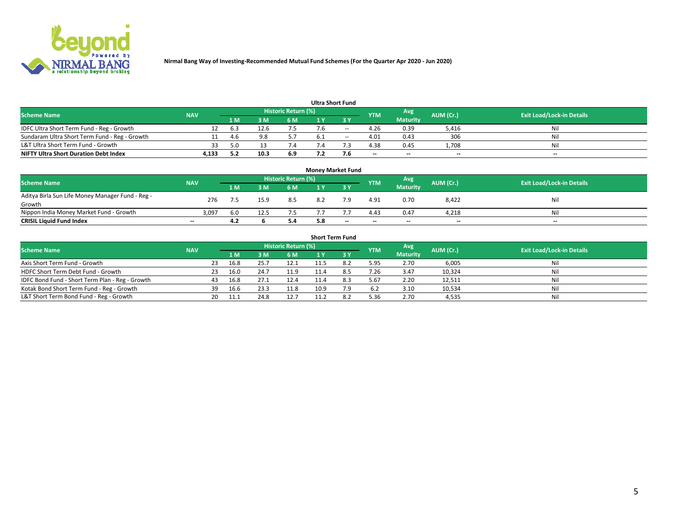

|  | <b>Ultra Short Fund</b> |  |
|--|-------------------------|--|
|--|-------------------------|--|

|                                               |            |                            |      |     |  | vitia Jilvit i uliu |            |                 |           |                                  |
|-----------------------------------------------|------------|----------------------------|------|-----|--|---------------------|------------|-----------------|-----------|----------------------------------|
| <b>Scheme Name</b>                            | <b>NAV</b> | <b>Historic Return (%)</b> |      |     |  |                     |            | Avg             | AUM (Cr.) | <b>Exit Load/Lock-in Details</b> |
|                                               |            | 1 M                        | 3 M  | 6 M |  |                     | <b>YTM</b> | <b>Maturity</b> |           |                                  |
| IDFC Ultra Short Term Fund - Reg - Growth     |            | 6.3                        | 12.6 |     |  | --                  | 4.26       | 0.39            | 5,416     | Nil                              |
| Sundaram Ultra Short Term Fund - Reg - Growth |            | 4 h                        |      |     |  | $-$                 | 4.01       | 0.43            | 306       | Nil                              |
| L&T Ultra Short Term Fund - Growth            |            |                            |      |     |  |                     | 4.38       | 0.45            | 1.708     | Nil                              |
| <b>NIFTY Ultra Short Duration Debt Index</b>  | 4.133      | 5.2                        | 10.3 | 6.9 |  | 7.6                 | $-$        | $- -$           | $- -$     | $\overline{\phantom{a}}$         |

|                                                  |            |      |      |                            | <b>Money Market Fund</b> |       |            |                 |           |                                  |
|--------------------------------------------------|------------|------|------|----------------------------|--------------------------|-------|------------|-----------------|-----------|----------------------------------|
| <b>Scheme Name</b>                               | <b>NAV</b> |      |      | <b>Historic Return (%)</b> |                          |       | <b>YTM</b> | Avg             | AUM (Cr.) | <b>Exit Load/Lock-in Details</b> |
|                                                  |            | 1 M  | 3 M  | 6 M                        |                          |       |            | <b>Maturity</b> |           |                                  |
| Aditya Birla Sun Life Money Manager Fund - Reg - | 276        |      | 15.9 | 8.5                        | 8.2                      | 7.9   | 4.91       | 0.70            | 8,422     | Nil                              |
| Growth                                           |            |      |      |                            |                          |       |            |                 |           |                                  |
| Nippon India Money Market Fund - Growth          | 3,097      | -6.0 | 12.5 |                            |                          |       | 4.43       | 0.47            | 4.218     | Nil                              |
| <b>CRISIL Liquid Fund Index</b>                  | $-$        | 4.2  |      | 5.4                        | 5.8                      | $- -$ | $-$        | $-$             | $- -$     | $- -$                            |

| <b>Short Term Fund</b>                          |            |     |      |      |                     |      |           |            |                 |           |                                  |  |
|-------------------------------------------------|------------|-----|------|------|---------------------|------|-----------|------------|-----------------|-----------|----------------------------------|--|
| <b>Scheme Name</b>                              | <b>NAV</b> |     |      |      | Historic Return (%) |      |           | <b>YTM</b> | Avg             | AUM (Cr.) | <b>Exit Load/Lock-in Details</b> |  |
|                                                 |            |     | 1 M. | 3 M  | 6 M                 |      | <b>3Y</b> |            | <b>Maturity</b> |           |                                  |  |
| Axis Short Term Fund - Growth                   |            | 23  | 16.8 | 25.7 | 12.1                |      |           | 5.95       | 2.70            | 6,005     | Nil                              |  |
| HDFC Short Term Debt Fund - Growth              |            | 23. | 16.0 | 24.7 | 11.9                | 11.4 |           | 7.26       | 3.47            | 10,324    | Nil                              |  |
| IDFC Bond Fund - Short Term Plan - Reg - Growth |            | 43  | 16.8 | 27.1 | 12.4                | 11.4 | 8.3       | 5.67       | 2.20            | 12,511    | Nil                              |  |
| Kotak Bond Short Term Fund - Reg - Growth       |            | 39  | 16.6 | 23.3 | 11.8                | 10.9 | 7.9       | 6.2        | 3.10            | 10,534    | Nil                              |  |
| L&T Short Term Bond Fund - Reg - Growth         |            | 20  | 11.1 | 24.8 | 12.7                | 11.2 |           | 5.36       | 2.70            | 4,535     | Nil                              |  |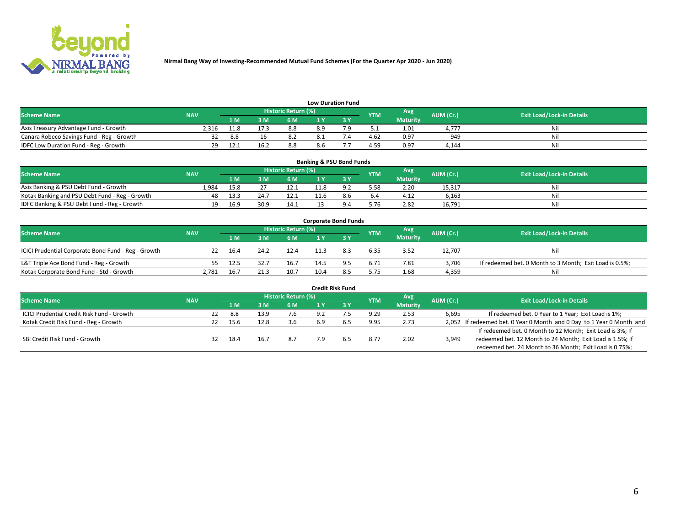

| <b>Low Duration Fund</b> |  |
|--------------------------|--|
|                          |  |

| <b>Scheme Name</b>                        | <b>NAV</b> |      |     | Historic Return (%) |     | <b>YTM</b> | Avg             | AUM (Cr.) | <b>Exit Load/Lock-in Details</b> |
|-------------------------------------------|------------|------|-----|---------------------|-----|------------|-----------------|-----------|----------------------------------|
|                                           |            | 1 M  | 3 M | 6 M                 | ∣Y  |            | <b>Maturity</b> |           |                                  |
| Axis Treasury Advantage Fund - Growth     | 2.316      | 11.8 |     | 8.8                 | 8.9 |            | 1.01            | 4.777     | Nil                              |
| Canara Robeco Savings Fund - Reg - Growth |            | 8.8  |     |                     |     | 4.62       | 0.97            | 949       | Ni                               |
| IDFC Low Duration Fund - Reg - Growth     |            |      |     | 8.8                 | 8.6 | 4.59       | 0.97            | 4.144     | Nil                              |

| <b>Banking &amp; PSU Bond Funds</b>            |            |      |      |                            |      |  |            |                 |           |                                  |  |  |
|------------------------------------------------|------------|------|------|----------------------------|------|--|------------|-----------------|-----------|----------------------------------|--|--|
| <b>Scheme Name</b>                             | <b>NAV</b> |      |      | <b>Historic Return (%)</b> |      |  | <b>YTM</b> | Avg             | AUM (Cr.) | <b>Exit Load/Lock-in Details</b> |  |  |
|                                                |            | 1 M  | 3 M  | 6 M                        |      |  |            | <b>Maturity</b> |           |                                  |  |  |
| Axis Banking & PSU Debt Fund - Growth          | 1.984      | 15.8 |      | 12.1                       | 11.8 |  | 5.58       | 2.20            | 15.317    | Nil                              |  |  |
| Kotak Banking and PSU Debt Fund - Reg - Growth |            | 13.3 | 24.7 | 12.1                       | 11.6 |  | 6.4        | 4.12            | 6.163     | Nil                              |  |  |
| IDFC Banking & PSU Debt Fund - Reg - Growth    | 19.        | 16.9 | 30.9 | 14.1                       |      |  | 5.76       | 2.82            | 16,791    | Nil                              |  |  |

| <b>Corporate Bond Funds</b>                         |            |      |      |                     |      |     |            |                 |           |                                                         |  |  |
|-----------------------------------------------------|------------|------|------|---------------------|------|-----|------------|-----------------|-----------|---------------------------------------------------------|--|--|
| <b>Scheme Name</b>                                  | <b>NAV</b> |      |      | Historic Return (%) |      |     | <b>YTM</b> | Avg             | AUM (Cr.) | <b>Exit Load/Lock-in Details</b>                        |  |  |
|                                                     |            | 1 M  | 3 M  | 6 M                 |      |     |            | <b>Maturity</b> |           |                                                         |  |  |
| ICICI Prudential Corporate Bond Fund - Reg - Growth | 22         | 16.4 | 24.2 | 12.4                |      | 8.3 | 6.35       | 3.52            | 12,707    | Nil                                                     |  |  |
| L&T Triple Ace Bond Fund - Reg - Growth             |            | 12.5 | 32.7 | 16.7                | 14.5 |     | 6.71       | 7.81            | 3,706     | If redeemed bet. 0 Month to 3 Month; Exit Load is 0.5%; |  |  |
| Kotak Corporate Bond Fund - Std - Growth            | 2,781      | 16.7 | 21.3 | 10.7                |      |     | 5.75       | 1.68            | 4,359     | Nil                                                     |  |  |

|                                            |            |    |      |      |                            |     | <b>Credit Risk Fund</b> |            |                 |           |                                                                       |
|--------------------------------------------|------------|----|------|------|----------------------------|-----|-------------------------|------------|-----------------|-----------|-----------------------------------------------------------------------|
| <b>Scheme Name</b>                         | <b>NAV</b> |    |      |      | <b>Historic Return (%)</b> |     |                         | <b>YTM</b> | Avg             | AUM (Cr.) | <b>Exit Load/Lock-in Details</b>                                      |
|                                            |            |    | 1 M  | 3 M  | 6 M                        |     | 3 Y                     |            | <b>Maturity</b> |           |                                                                       |
| ICICI Prudential Credit Risk Fund - Growth |            | 22 | 8.8  | 13.9 | 7.6                        | 9.2 |                         | 9.29       | 2.53            | 6,695     | If redeemed bet. 0 Year to 1 Year; Exit Load is 1%;                   |
| Kotak Credit Risk Fund - Reg - Growth      |            | 22 | 15.6 | 12.8 | 3.6                        | 6.9 |                         | 9.95       | 2.73            |           | 2,052 If redeemed bet. 0 Year 0 Month and 0 Day to 1 Year 0 Month and |
|                                            |            |    |      |      |                            |     |                         |            |                 |           | If redeemed bet. 0 Month to 12 Month; Exit Load is 3%; If             |
| SBI Credit Risk Fund - Growth              |            | 32 | 18.4 | 16.7 | 8.7                        |     |                         | 8.77       | 2.02            | 3,949     | redeemed bet. 12 Month to 24 Month; Exit Load is 1.5%; If             |
|                                            |            |    |      |      |                            |     |                         |            |                 |           | redeemed bet. 24 Month to 36 Month; Exit Load is 0.75%;               |